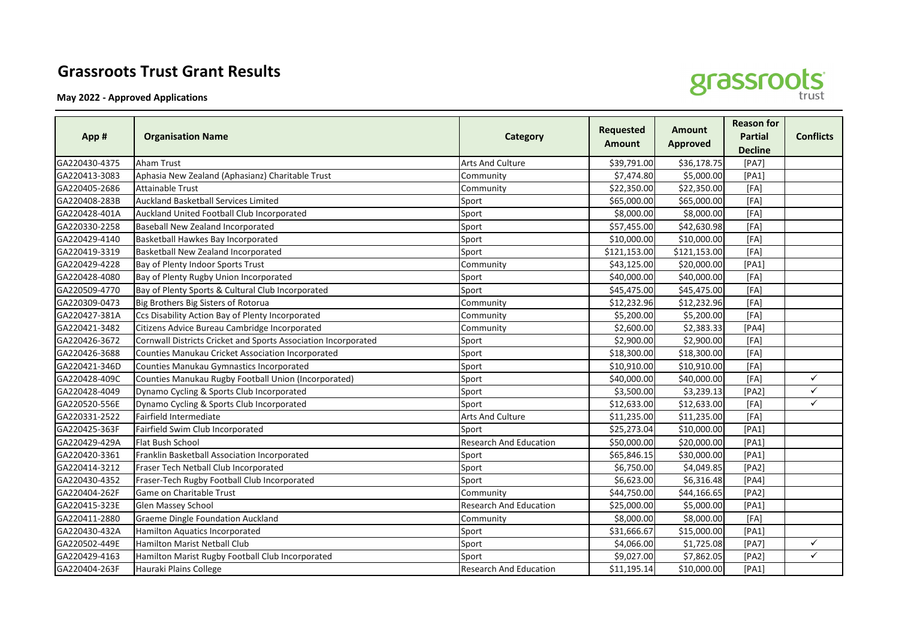## **Grassroots Trust Grant Results**

**May 2022 - Approved Applications**



| App #         | <b>Organisation Name</b>                                       | <b>Category</b>               | <b>Requested</b><br>Amount | <b>Amount</b><br><b>Approved</b> | <b>Reason for</b><br><b>Partial</b><br><b>Decline</b> | <b>Conflicts</b> |
|---------------|----------------------------------------------------------------|-------------------------------|----------------------------|----------------------------------|-------------------------------------------------------|------------------|
| GA220430-4375 | <b>Aham Trust</b>                                              | <b>Arts And Culture</b>       | \$39,791.00                | \$36,178.75                      | [PA7]                                                 |                  |
| GA220413-3083 | Aphasia New Zealand (Aphasianz) Charitable Trust               | Community                     | \$7,474.80                 | \$5,000.00                       | [PA1]                                                 |                  |
| GA220405-2686 | <b>Attainable Trust</b>                                        | Community                     | \$22,350.00                | \$22,350.00                      | [FA]                                                  |                  |
| GA220408-283B | <b>Auckland Basketball Services Limited</b>                    | Sport                         | \$65,000.00                | \$65,000.00                      | [FA]                                                  |                  |
| GA220428-401A | Auckland United Football Club Incorporated                     | Sport                         | \$8,000.00                 | \$8,000.00                       | [FA]                                                  |                  |
| GA220330-2258 | Baseball New Zealand Incorporated                              | Sport                         | \$57,455.00                | \$42,630.98                      | [FA]                                                  |                  |
| GA220429-4140 | Basketball Hawkes Bay Incorporated                             | Sport                         | \$10,000.00                | \$10,000.00                      | [FA]                                                  |                  |
| GA220419-3319 | Basketball New Zealand Incorporated                            | Sport                         | \$121,153.00               | \$121,153.00                     | [FA]                                                  |                  |
| GA220429-4228 | Bay of Plenty Indoor Sports Trust                              | Community                     | \$43,125.00                | \$20,000.00                      | [PA1]                                                 |                  |
| GA220428-4080 | Bay of Plenty Rugby Union Incorporated                         | Sport                         | \$40,000.00                | \$40,000.00                      | [FA]                                                  |                  |
| GA220509-4770 | Bay of Plenty Sports & Cultural Club Incorporated              | Sport                         | \$45,475.00                | \$45,475.00                      | [FA]                                                  |                  |
| GA220309-0473 | Big Brothers Big Sisters of Rotorua                            | Community                     | \$12,232.96                | \$12,232.96                      | [FA]                                                  |                  |
| GA220427-381A | Ccs Disability Action Bay of Plenty Incorporated               | Community                     | \$5,200.00                 | \$5,200.00                       | [FA]                                                  |                  |
| GA220421-3482 | Citizens Advice Bureau Cambridge Incorporated                  | Community                     | \$2,600.00                 | \$2,383.33                       | [PA4]                                                 |                  |
| GA220426-3672 | Cornwall Districts Cricket and Sports Association Incorporated | Sport                         | \$2,900.00                 | \$2,900.00                       | [FA]                                                  |                  |
| GA220426-3688 | <b>Counties Manukau Cricket Association Incorporated</b>       | Sport                         | \$18,300.00                | \$18,300.00                      | [FA]                                                  |                  |
| GA220421-346D | Counties Manukau Gymnastics Incorporated                       | Sport                         | \$10,910.00                | \$10,910.00                      | [FA]                                                  |                  |
| GA220428-409C | Counties Manukau Rugby Football Union (Incorporated)           | Sport                         | \$40,000.00                | \$40,000.00                      | [FA]                                                  | $\checkmark$     |
| GA220428-4049 | Dynamo Cycling & Sports Club Incorporated                      | Sport                         | \$3,500.00                 | \$3,239.13                       | [PA2]                                                 | $\checkmark$     |
| GA220520-556E | Dynamo Cycling & Sports Club Incorporated                      | Sport                         | \$12,633.00                | \$12,633.00                      | [FA]                                                  | $\checkmark$     |
| GA220331-2522 | Fairfield Intermediate                                         | Arts And Culture              | \$11,235.00                | \$11,235.00                      | [FA]                                                  |                  |
| GA220425-363F | Fairfield Swim Club Incorporated                               | Sport                         | \$25,273.04                | \$10,000.00                      | [PA1]                                                 |                  |
| GA220429-429A | Flat Bush School                                               | <b>Research And Education</b> | \$50,000.00                | \$20,000.00                      | [PA1]                                                 |                  |
| GA220420-3361 | Franklin Basketball Association Incorporated                   | Sport                         | \$65,846.15                | \$30,000.00                      | [PA1]                                                 |                  |
| GA220414-3212 | Fraser Tech Netball Club Incorporated                          | Sport                         | \$6,750.00                 | \$4,049.85                       | [PA2]                                                 |                  |
| GA220430-4352 | Fraser-Tech Rugby Football Club Incorporated                   | Sport                         | \$6,623.00                 | \$6,316.48                       | [PA4]                                                 |                  |
| GA220404-262F | Game on Charitable Trust                                       | Community                     | \$44,750.00                | \$44,166.65                      | [PA2]                                                 |                  |
| GA220415-323E | Glen Massey School                                             | <b>Research And Education</b> | \$25,000.00                | \$5,000.00                       | [PA1]                                                 |                  |
| GA220411-2880 | <b>Graeme Dingle Foundation Auckland</b>                       | Community                     | \$8,000.00                 | \$8,000.00                       | [FA]                                                  |                  |
| GA220430-432A | Hamilton Aquatics Incorporated                                 | Sport                         | \$31,666.67                | \$15,000.00                      | [PA1]                                                 |                  |
| GA220502-449E | <b>Hamilton Marist Netball Club</b>                            | Sport                         | \$4,066.00                 | \$1,725.08                       | [PA7]                                                 | $\checkmark$     |
| GA220429-4163 | Hamilton Marist Rugby Football Club Incorporated               | Sport                         | \$9,027.00                 | \$7,862.05                       | [PA2]                                                 | $\checkmark$     |
| GA220404-263F | Hauraki Plains College                                         | <b>Research And Education</b> | \$11,195.14                | \$10,000.00                      | [PA1]                                                 |                  |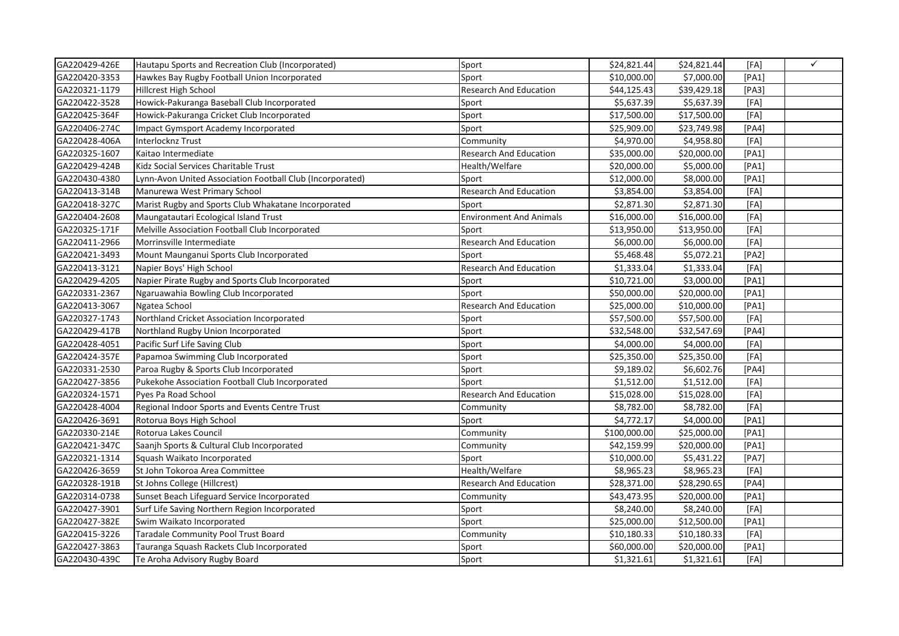| GA220429-426E | Hautapu Sports and Recreation Club (Incorporated)         | Sport                          | \$24,821.44  | \$24,821.44 | [FA]  | $\checkmark$ |
|---------------|-----------------------------------------------------------|--------------------------------|--------------|-------------|-------|--------------|
| GA220420-3353 | Hawkes Bay Rugby Football Union Incorporated              | Sport                          | \$10,000.00  | \$7,000.00  | [PA1] |              |
| GA220321-1179 | <b>Hillcrest High School</b>                              | <b>Research And Education</b>  | \$44,125.43  | \$39,429.18 | [PA3] |              |
| GA220422-3528 | Howick-Pakuranga Baseball Club Incorporated               | Sport                          | \$5,637.39   | \$5,637.39  | [FA]  |              |
| GA220425-364F | Howick-Pakuranga Cricket Club Incorporated                | Sport                          | \$17,500.00  | \$17,500.00 | [FA]  |              |
| GA220406-274C | Impact Gymsport Academy Incorporated                      | Sport                          | \$25,909.00  | \$23,749.98 | [PA4] |              |
| GA220428-406A | <b>Interlocknz Trust</b>                                  | Community                      | \$4,970.00   | \$4,958.80  | [FA]  |              |
| GA220325-1607 | Kaitao Intermediate                                       | <b>Research And Education</b>  | \$35,000.00  | \$20,000.00 | [PA1] |              |
| GA220429-424B | Kidz Social Services Charitable Trust                     | Health/Welfare                 | \$20,000.00  | \$5,000.00  | [PA1] |              |
| GA220430-4380 | Lynn-Avon United Association Football Club (Incorporated) | Sport                          | \$12,000.00  | \$8,000.00  | [PA1] |              |
| GA220413-314B | Manurewa West Primary School                              | <b>Research And Education</b>  | \$3,854.00   | \$3,854.00  | [FA]  |              |
| GA220418-327C | Marist Rugby and Sports Club Whakatane Incorporated       | Sport                          | \$2,871.30   | \$2,871.30  | [FA]  |              |
| GA220404-2608 | Maungatautari Ecological Island Trust                     | <b>Environment And Animals</b> | \$16,000.00  | \$16,000.00 | [FA]  |              |
| GA220325-171F | Melville Association Football Club Incorporated           | Sport                          | \$13,950.00  | \$13,950.00 | [FA]  |              |
| GA220411-2966 | Morrinsville Intermediate                                 | Research And Education         | \$6,000.00   | \$6,000.00  | [FA]  |              |
| GA220421-3493 | Mount Maunganui Sports Club Incorporated                  | Sport                          | \$5,468.48   | \$5,072.21  | [PA2] |              |
| GA220413-3121 | Napier Boys' High School                                  | <b>Research And Education</b>  | \$1,333.04   | \$1,333.04  | [FA]  |              |
| GA220429-4205 | Napier Pirate Rugby and Sports Club Incorporated          | Sport                          | \$10,721.00  | \$3,000.00  | [PA1] |              |
| GA220331-2367 | Ngaruawahia Bowling Club Incorporated                     | Sport                          | \$50,000.00  | \$20,000.00 | [PA1] |              |
| GA220413-3067 | Ngatea School                                             | Research And Education         | \$25,000.00  | \$10,000.00 | [PA1] |              |
| GA220327-1743 | Northland Cricket Association Incorporated                | Sport                          | \$57,500.00  | \$57,500.00 | [FA]  |              |
| GA220429-417B | Northland Rugby Union Incorporated                        | Sport                          | \$32,548.00  | \$32,547.69 | [PA4] |              |
| GA220428-4051 | Pacific Surf Life Saving Club                             | Sport                          | \$4,000.00   | \$4,000.00  | [FA]  |              |
| GA220424-357E | Papamoa Swimming Club Incorporated                        | Sport                          | \$25,350.00  | \$25,350.00 | [FA]  |              |
| GA220331-2530 | Paroa Rugby & Sports Club Incorporated                    | Sport                          | \$9,189.02   | \$6,602.76  | [PA4] |              |
| GA220427-3856 | Pukekohe Association Football Club Incorporated           | Sport                          | \$1,512.00   | \$1,512.00  | [FA]  |              |
| GA220324-1571 | Pyes Pa Road School                                       | <b>Research And Education</b>  | \$15,028.00  | \$15,028.00 | [FA]  |              |
| GA220428-4004 | Regional Indoor Sports and Events Centre Trust            | Community                      | \$8,782.00   | \$8,782.00  | [FA]  |              |
| GA220426-3691 | Rotorua Boys High School                                  | Sport                          | \$4,772.17   | \$4,000.00  | [PA1] |              |
| GA220330-214E | Rotorua Lakes Council                                     | Community                      | \$100,000.00 | \$25,000.00 | [PA1] |              |
| GA220421-347C | Saanjh Sports & Cultural Club Incorporated                | Community                      | \$42,159.99  | \$20,000.00 | [PA1] |              |
| GA220321-1314 | Squash Waikato Incorporated                               | Sport                          | \$10,000.00  | \$5,431.22  | [PA7] |              |
| GA220426-3659 | St John Tokoroa Area Committee                            | Health/Welfare                 | \$8,965.23   | \$8,965.23  | [FA]  |              |
| GA220328-191B | St Johns College (Hillcrest)                              | Research And Education         | \$28,371.00  | \$28,290.65 | [PA4] |              |
| GA220314-0738 | Sunset Beach Lifeguard Service Incorporated               | Community                      | \$43,473.95  | \$20,000.00 | [PA1] |              |
| GA220427-3901 | Surf Life Saving Northern Region Incorporated             | Sport                          | \$8,240.00   | \$8,240.00  | [FA]  |              |
| GA220427-382E | Swim Waikato Incorporated                                 | Sport                          | \$25,000.00  | \$12,500.00 | [PA1] |              |
| GA220415-3226 | Taradale Community Pool Trust Board                       | Community                      | \$10,180.33  | \$10,180.33 | [FA]  |              |
| GA220427-3863 | Tauranga Squash Rackets Club Incorporated                 | Sport                          | \$60,000.00  | \$20,000.00 | [PA1] |              |
| GA220430-439C | Te Aroha Advisory Rugby Board                             | Sport                          | \$1,321.61   | \$1,321.61  | [FA]  |              |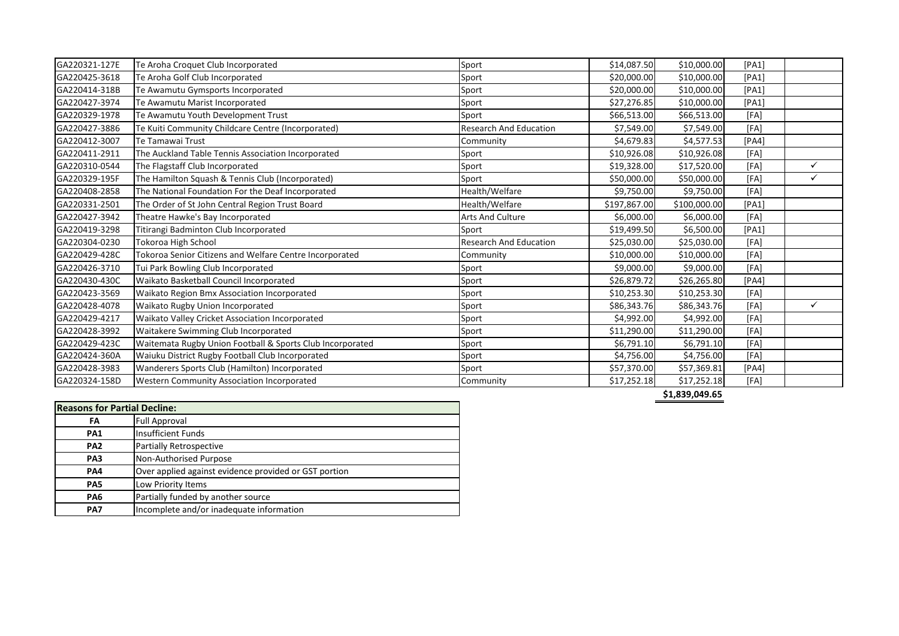| GA220321-127E | Te Aroha Croquet Club Incorporated                        | Sport                         | \$14,087.50  | \$10,000.00  | [PA1] |              |
|---------------|-----------------------------------------------------------|-------------------------------|--------------|--------------|-------|--------------|
| GA220425-3618 | Te Aroha Golf Club Incorporated                           | Sport                         | \$20,000.00  | \$10,000.00  | [PA1] |              |
| GA220414-318B | Te Awamutu Gymsports Incorporated                         | Sport                         | \$20,000.00  | \$10,000.00  | [PA1] |              |
| GA220427-3974 | Te Awamutu Marist Incorporated                            | Sport                         | \$27,276.85  | \$10,000.00  | [PA1] |              |
| GA220329-1978 | Te Awamutu Youth Development Trust                        | Sport                         | \$66,513.00  | \$66,513.00  | [FA]  |              |
| GA220427-3886 | Te Kuiti Community Childcare Centre (Incorporated)        | <b>Research And Education</b> | \$7,549.00   | \$7,549.00   | [FA]  |              |
| GA220412-3007 | Te Tamawai Trust                                          | Community                     | \$4,679.83   | \$4,577.53   | [PA4] |              |
| GA220411-2911 | The Auckland Table Tennis Association Incorporated        | Sport                         | \$10,926.08  | \$10,926.08  | [FA]  |              |
| GA220310-0544 | The Flagstaff Club Incorporated                           | Sport                         | \$19,328.00  | \$17,520.00  | [FA]  | $\checkmark$ |
| GA220329-195F | The Hamilton Squash & Tennis Club (Incorporated)          | Sport                         | \$50,000.00  | \$50,000.00  | [FA]  | ✓            |
| GA220408-2858 | The National Foundation For the Deaf Incorporated         | Health/Welfare                | \$9,750.00   | \$9,750.00   | [FA]  |              |
| GA220331-2501 | The Order of St John Central Region Trust Board           | Health/Welfare                | \$197,867.00 | \$100,000.00 | [PA1] |              |
| GA220427-3942 | Theatre Hawke's Bay Incorporated                          | <b>Arts And Culture</b>       | \$6,000.00   | \$6,000.00   | [FA]  |              |
| GA220419-3298 | Titirangi Badminton Club Incorporated                     | Sport                         | \$19,499.50  | \$6,500.00   | [PA1] |              |
| GA220304-0230 | Tokoroa High School                                       | <b>Research And Education</b> | \$25,030.00  | \$25,030.00  | [FA]  |              |
| GA220429-428C | Tokoroa Senior Citizens and Welfare Centre Incorporated   | Community                     | \$10,000.00  | \$10,000.00  | [FA]  |              |
| GA220426-3710 | Tui Park Bowling Club Incorporated                        | Sport                         | \$9,000.00   | \$9,000.00   | [FA]  |              |
| GA220430-430C | Waikato Basketball Council Incorporated                   | Sport                         | \$26,879.72  | \$26,265.80  | [PA4] |              |
| GA220423-3569 | Waikato Region Bmx Association Incorporated               | Sport                         | \$10,253.30  | \$10,253.30  | [FA]  |              |
| GA220428-4078 | Waikato Rugby Union Incorporated                          | Sport                         | \$86,343.76  | \$86,343.76  | [FA]  | $\checkmark$ |
| GA220429-4217 | Waikato Valley Cricket Association Incorporated           | Sport                         | \$4,992.00   | \$4,992.00   | [FA]  |              |
| GA220428-3992 | Waitakere Swimming Club Incorporated                      | Sport                         | \$11,290.00  | \$11,290.00  | [FA]  |              |
| GA220429-423C | Waitemata Rugby Union Football & Sports Club Incorporated | Sport                         | \$6,791.10   | \$6,791.10   | [FA]  |              |
| GA220424-360A | Waiuku District Rugby Football Club Incorporated          | Sport                         | \$4,756.00   | \$4,756.00   | [FA]  |              |
| GA220428-3983 | Wanderers Sports Club (Hamilton) Incorporated             | Sport                         | \$57,370.00  | \$57,369.81  | [PA4] |              |
| GA220324-158D | Western Community Association Incorporated                | Community                     | \$17,252.18  | \$17,252.18  | [FA]  |              |
|               |                                                           |                               |              |              |       |              |

**\$1,839,049.65**

| <b>Reasons for Partial Decline:</b> |                                                       |  |  |  |
|-------------------------------------|-------------------------------------------------------|--|--|--|
| FA                                  | <b>Full Approval</b>                                  |  |  |  |
| <b>PA1</b>                          | <b>Insufficient Funds</b>                             |  |  |  |
| PA <sub>2</sub>                     | <b>Partially Retrospective</b>                        |  |  |  |
| PA <sub>3</sub>                     | Non-Authorised Purpose                                |  |  |  |
| <b>PA4</b>                          | Over applied against evidence provided or GST portion |  |  |  |
| PA <sub>5</sub>                     | Low Priority Items                                    |  |  |  |
| PA <sub>6</sub>                     | Partially funded by another source                    |  |  |  |
| PA7                                 | Incomplete and/or inadequate information              |  |  |  |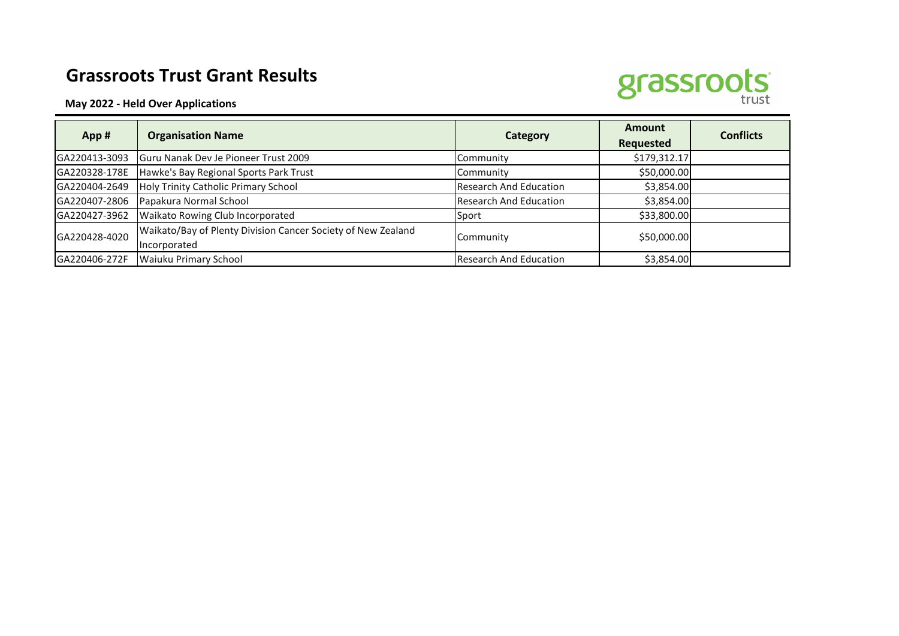## **Grassroots Trust Grant Results**





| App#          | <b>Organisation Name</b>                                                     | Category                      | <b>Amount</b><br><b>Requested</b> | <b>Conflicts</b> |
|---------------|------------------------------------------------------------------------------|-------------------------------|-----------------------------------|------------------|
| GA220413-3093 | Guru Nanak Dev Je Pioneer Trust 2009                                         | Community                     | \$179,312.17                      |                  |
| GA220328-178E | Hawke's Bay Regional Sports Park Trust                                       | Community                     | \$50,000.00                       |                  |
| GA220404-2649 | Holy Trinity Catholic Primary School                                         | <b>Research And Education</b> | \$3,854.00                        |                  |
| GA220407-2806 | Papakura Normal School                                                       | <b>Research And Education</b> | \$3,854.00                        |                  |
| GA220427-3962 | Waikato Rowing Club Incorporated                                             | Sport                         | \$33,800.00                       |                  |
| GA220428-4020 | Waikato/Bay of Plenty Division Cancer Society of New Zealand<br>Incorporated | Community                     | \$50,000.00                       |                  |
| GA220406-272F | <b>Waiuku Primary School</b>                                                 | <b>Research And Education</b> | \$3,854.00                        |                  |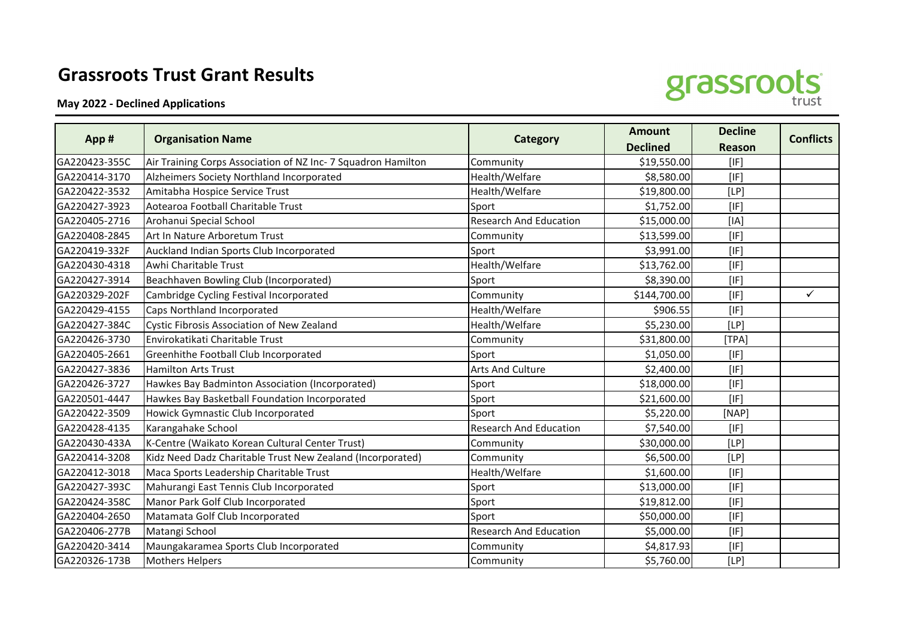## **Grassroots Trust Grant Results**

**May 2022 - Declined Applications**



|               |                                                               |                               | <b>Amount</b>   | <b>Decline</b> | <b>Conflicts</b> |
|---------------|---------------------------------------------------------------|-------------------------------|-----------------|----------------|------------------|
| App#          | <b>Organisation Name</b>                                      | Category                      | <b>Declined</b> | <b>Reason</b>  |                  |
| GA220423-355C | Air Training Corps Association of NZ Inc- 7 Squadron Hamilton | Community                     | \$19,550.00     | [IF]           |                  |
| GA220414-3170 | Alzheimers Society Northland Incorporated                     | Health/Welfare                | \$8,580.00      | [IF]           |                  |
| GA220422-3532 | Amitabha Hospice Service Trust                                | Health/Welfare                | \$19,800.00     | [LP]           |                  |
| GA220427-3923 | Aotearoa Football Charitable Trust                            | Sport                         | \$1,752.00      | [IF]           |                  |
| GA220405-2716 | Arohanui Special School                                       | <b>Research And Education</b> | \$15,000.00     | [IA]           |                  |
| GA220408-2845 | Art In Nature Arboretum Trust                                 | Community                     | \$13,599.00     | [IF]           |                  |
| GA220419-332F | Auckland Indian Sports Club Incorporated                      | Sport                         | \$3,991.00      | [IF]           |                  |
| GA220430-4318 | Awhi Charitable Trust                                         | Health/Welfare                | \$13,762.00     | [IF]           |                  |
| GA220427-3914 | Beachhaven Bowling Club (Incorporated)                        | Sport                         | \$8,390.00      | [IF]           |                  |
| GA220329-202F | Cambridge Cycling Festival Incorporated                       | Community                     | \$144,700.00    | [IF]           | $\checkmark$     |
| GA220429-4155 | Caps Northland Incorporated                                   | Health/Welfare                | \$906.55        | [IF]           |                  |
| GA220427-384C | Cystic Fibrosis Association of New Zealand                    | Health/Welfare                | \$5,230.00      | [LP]           |                  |
| GA220426-3730 | Envirokatikati Charitable Trust                               | Community                     | \$31,800.00     | [TPA]          |                  |
| GA220405-2661 | Greenhithe Football Club Incorporated                         | Sport                         | \$1,050.00      | [IF]           |                  |
| GA220427-3836 | <b>Hamilton Arts Trust</b>                                    | <b>Arts And Culture</b>       | \$2,400.00      | [IF]           |                  |
| GA220426-3727 | Hawkes Bay Badminton Association (Incorporated)               | Sport                         | \$18,000.00     | [IF]           |                  |
| GA220501-4447 | Hawkes Bay Basketball Foundation Incorporated                 | Sport                         | \$21,600.00     | [IF]           |                  |
| GA220422-3509 | Howick Gymnastic Club Incorporated                            | Sport                         | \$5,220.00      | [NAP]          |                  |
| GA220428-4135 | Karangahake School                                            | <b>Research And Education</b> | \$7,540.00      | [IF]           |                  |
| GA220430-433A | K-Centre (Waikato Korean Cultural Center Trust)               | Community                     | \$30,000.00     | [LP]           |                  |
| GA220414-3208 | Kidz Need Dadz Charitable Trust New Zealand (Incorporated)    | Community                     | \$6,500.00      | [LP]           |                  |
| GA220412-3018 | Maca Sports Leadership Charitable Trust                       | Health/Welfare                | \$1,600.00      | [IF]           |                  |
| GA220427-393C | Mahurangi East Tennis Club Incorporated                       | Sport                         | \$13,000.00     | [IF]           |                  |
| GA220424-358C | Manor Park Golf Club Incorporated                             | Sport                         | \$19,812.00     | [IF]           |                  |
| GA220404-2650 | Matamata Golf Club Incorporated                               | Sport                         | \$50,000.00     | [IF]           |                  |
| GA220406-277B | Matangi School                                                | <b>Research And Education</b> | \$5,000.00      | [IF]           |                  |
| GA220420-3414 | Maungakaramea Sports Club Incorporated                        | Community                     | \$4,817.93      | [IF]           |                  |
| GA220326-173B | <b>Mothers Helpers</b>                                        | Community                     | \$5,760.00      | [LP]           |                  |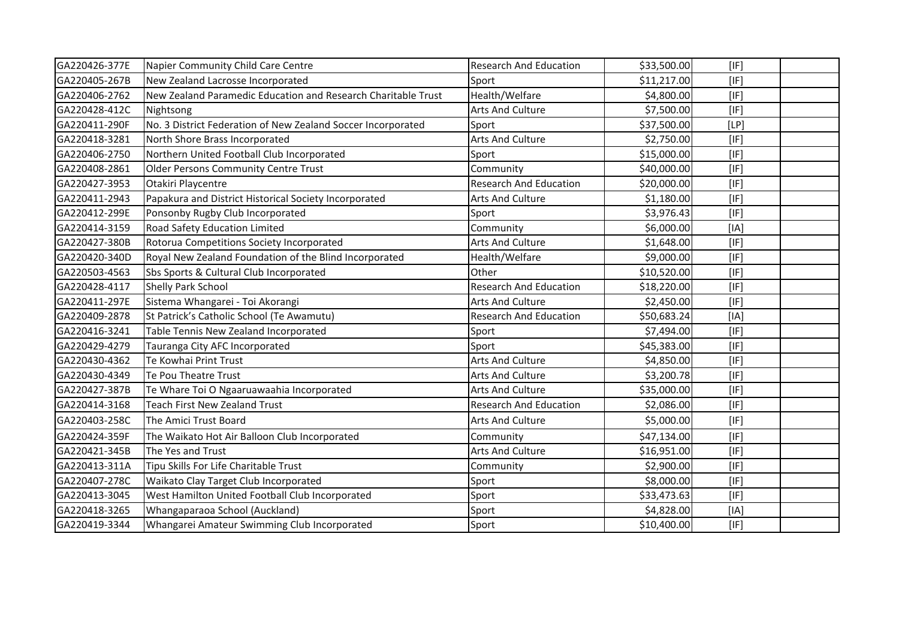| GA220426-377E | Napier Community Child Care Centre                            | <b>Research And Education</b> | \$33,500.00 | [IF] |  |
|---------------|---------------------------------------------------------------|-------------------------------|-------------|------|--|
| GA220405-267B | New Zealand Lacrosse Incorporated                             | Sport                         | \$11,217.00 | [IF] |  |
| GA220406-2762 | New Zealand Paramedic Education and Research Charitable Trust | Health/Welfare                | \$4,800.00  | [IF] |  |
| GA220428-412C | Nightsong                                                     | <b>Arts And Culture</b>       | \$7,500.00  | [IF] |  |
| GA220411-290F | No. 3 District Federation of New Zealand Soccer Incorporated  | Sport                         | \$37,500.00 | [LP] |  |
| GA220418-3281 | North Shore Brass Incorporated                                | <b>Arts And Culture</b>       | \$2,750.00  | [IF] |  |
| GA220406-2750 | Northern United Football Club Incorporated                    | Sport                         | \$15,000.00 | [IF] |  |
| GA220408-2861 | <b>Older Persons Community Centre Trust</b>                   | Community                     | \$40,000.00 | [IF] |  |
| GA220427-3953 | Otakiri Playcentre                                            | <b>Research And Education</b> | \$20,000.00 | [IF] |  |
| GA220411-2943 | Papakura and District Historical Society Incorporated         | <b>Arts And Culture</b>       | \$1,180.00  | [IF] |  |
| GA220412-299E | Ponsonby Rugby Club Incorporated                              | Sport                         | \$3,976.43  | [IF] |  |
| GA220414-3159 | Road Safety Education Limited                                 | Community                     | \$6,000.00  | [IA] |  |
| GA220427-380B | Rotorua Competitions Society Incorporated                     | <b>Arts And Culture</b>       | \$1,648.00  | [IF] |  |
| GA220420-340D | Royal New Zealand Foundation of the Blind Incorporated        | Health/Welfare                | \$9,000.00  | [IF] |  |
| GA220503-4563 | Sbs Sports & Cultural Club Incorporated                       | Other                         | \$10,520.00 | [IF] |  |
| GA220428-4117 | Shelly Park School                                            | <b>Research And Education</b> | \$18,220.00 | [IF] |  |
| GA220411-297E | Sistema Whangarei - Toi Akorangi                              | <b>Arts And Culture</b>       | \$2,450.00  | [IF] |  |
| GA220409-2878 | St Patrick's Catholic School (Te Awamutu)                     | <b>Research And Education</b> | \$50,683.24 | [IA] |  |
| GA220416-3241 | Table Tennis New Zealand Incorporated                         | Sport                         | \$7,494.00  | [IF] |  |
| GA220429-4279 | Tauranga City AFC Incorporated                                | Sport                         | \$45,383.00 | [IF] |  |
| GA220430-4362 | Te Kowhai Print Trust                                         | <b>Arts And Culture</b>       | \$4,850.00  | [IF] |  |
| GA220430-4349 | Te Pou Theatre Trust                                          | <b>Arts And Culture</b>       | \$3,200.78  | [IF] |  |
| GA220427-387B | Te Whare Toi O Ngaaruawaahia Incorporated                     | <b>Arts And Culture</b>       | \$35,000.00 | [IF] |  |
| GA220414-3168 | <b>Teach First New Zealand Trust</b>                          | <b>Research And Education</b> | \$2,086.00  | [IF] |  |
| GA220403-258C | The Amici Trust Board                                         | <b>Arts And Culture</b>       | \$5,000.00  | [IF] |  |
| GA220424-359F | The Waikato Hot Air Balloon Club Incorporated                 | Community                     | \$47,134.00 | [IF] |  |
| GA220421-345B | The Yes and Trust                                             | Arts And Culture              | \$16,951.00 | [IF] |  |
| GA220413-311A | Tipu Skills For Life Charitable Trust                         | Community                     | \$2,900.00  | [IF] |  |
| GA220407-278C | Waikato Clay Target Club Incorporated                         | Sport                         | \$8,000.00  | [IF] |  |
| GA220413-3045 | West Hamilton United Football Club Incorporated               | Sport                         | \$33,473.63 | [IF] |  |
| GA220418-3265 | Whangaparaoa School (Auckland)                                | Sport                         | \$4,828.00  | [IA] |  |
| GA220419-3344 | Whangarei Amateur Swimming Club Incorporated                  | Sport                         | \$10,400.00 | [IF] |  |